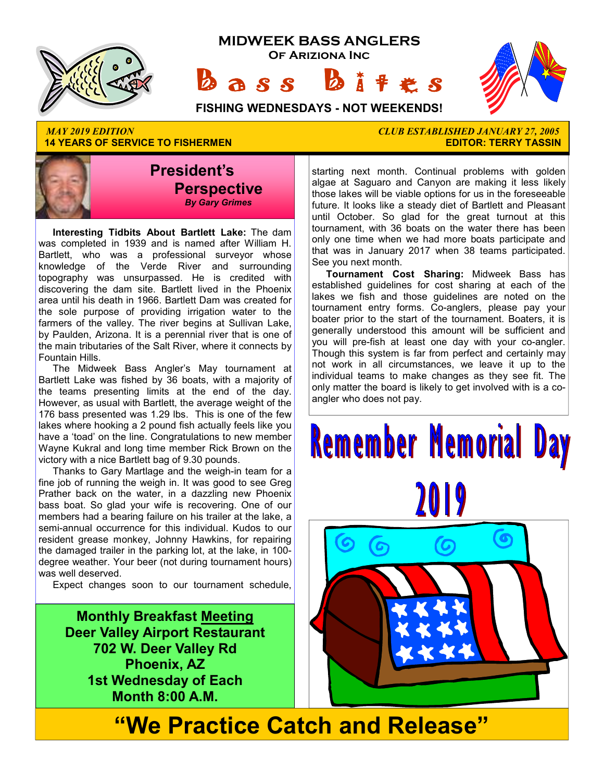

**14 YEARS OF SERVICE TO FISHERMEN** 



 **Interesting Tidbits About Bartlett Lake:** The dam was completed in 1939 and is named after William H. Bartlett, who was a professional surveyor whose knowledge of the Verde River and surrounding topography was unsurpassed. He is credited with discovering the dam site. Bartlett lived in the Phoenix area until his death in 1966. Bartlett Dam was created for the sole purpose of providing irrigation water to the farmers of the valley. The river begins at Sullivan Lake, by Paulden, Arizona. It is a perennial river that is one of the main tributaries of the Salt River, where it connects by Fountain Hills.

 The Midweek Bass Angler's May tournament at Bartlett Lake was fished by 36 boats, with a majority of the teams presenting limits at the end of the day. However, as usual with Bartlett, the average weight of the 176 bass presented was 1.29 lbs. This is one of the few lakes where hooking a 2 pound fish actually feels like you have a 'toad' on the line. Congratulations to new member Wayne Kukral and long time member Rick Brown on the victory with a nice Bartlett bag of 9.30 pounds.

 Thanks to Gary Martlage and the weigh-in team for a fine job of running the weigh in. It was good to see Greg Prather back on the water, in a dazzling new Phoenix bass boat. So glad your wife is recovering. One of our members had a bearing failure on his trailer at the lake, a semi-annual occurrence for this individual. Kudos to our resident grease monkey, Johnny Hawkins, for repairing the damaged trailer in the parking lot, at the lake, in 100 degree weather. Your beer (not during tournament hours) was well deserved.

Expect changes soon to our tournament schedule,

**Monthly Breakfast Meeting Deer Valley Airport Restaurant 702 W. Deer Valley Rd Phoenix, AZ 1st Wednesday of Each Month 8:00 A.M.** 

*MAY 2019 EDITION CLUB ESTABLISHED JANUARY 27, 2005* 

starting next month. Continual problems with golden algae at Saguaro and Canyon are making it less likely those lakes will be viable options for us in the foreseeable future. It looks like a steady diet of Bartlett and Pleasant until October. So glad for the great turnout at this tournament, with 36 boats on the water there has been only one time when we had more boats participate and that was in January 2017 when 38 teams participated. See you next month.

**Tournament Cost Sharing:** Midweek Bass has established guidelines for cost sharing at each of the lakes we fish and those guidelines are noted on the tournament entry forms. Co-anglers, please pay your boater prior to the start of the tournament. Boaters, it is generally understood this amount will be sufficient and you will pre-fish at least one day with your co-angler. Though this system is far from perfect and certainly may not work in all circumstances, we leave it up to the individual teams to make changes as they see fit. The only matter the board is likely to get involved with is a coangler who does not pay.

# **Remember Memorial Day** 2019



**"We Practice Catch and Release"**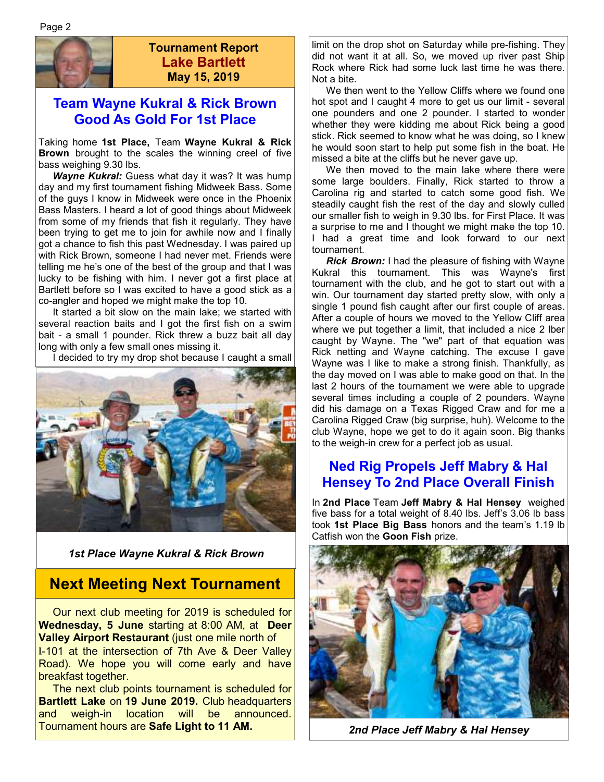

#### **Tournament Report Lake Bartlett May 15, 2019**

#### **Team Wayne Kukral & Rick Brown Good As Gold For 1st Place**

Taking home **1st Place,** Team **Wayne Kukral & Rick Brown** brought to the scales the winning creel of five bass weighing 9.30 lbs.

*Wayne Kukral: Guess what day it was? It was hump* day and my first tournament fishing Midweek Bass. Some of the guys I know in Midweek were once in the Phoenix Bass Masters. I heard a lot of good things about Midweek from some of my friends that fish it regularly. They have been trying to get me to join for awhile now and I finally got a chance to fish this past Wednesday. I was paired up with Rick Brown, someone I had never met. Friends were telling me he's one of the best of the group and that I was lucky to be fishing with him. I never got a first place at Bartlett before so I was excited to have a good stick as a co-angler and hoped we might make the top 10.

 It started a bit slow on the main lake; we started with several reaction baits and I got the first fish on a swim bait - a small 1 pounder. Rick threw a buzz bait all day long with only a few small ones missing it.

I decided to try my drop shot because I caught a small



*1st Place Wayne Kukral & Rick Brown* 

#### **Next Meeting Next Tournament**

 Our next club meeting for 2019 is scheduled for **Wednesday, 5 June** starting at 8:00 AM, at **Deer Valley Airport Restaurant** (just one mile north of I-101 at the intersection of 7th Ave & Deer Valley Road). We hope you will come early and have breakfast together.

 The next club points tournament is scheduled for **Bartlett Lake** on **19 June 2019.** Club headquarters and weigh-in location will be announced. Tournament hours are **Safe Light to 11 AM.** 

limit on the drop shot on Saturday while pre-fishing. They did not want it at all. So, we moved up river past Ship Rock where Rick had some luck last time he was there. Not a bite.

 We then went to the Yellow Cliffs where we found one hot spot and I caught 4 more to get us our limit - several one pounders and one 2 pounder. I started to wonder whether they were kidding me about Rick being a good stick. Rick seemed to know what he was doing, so I knew he would soon start to help put some fish in the boat. He missed a bite at the cliffs but he never gave up.

 We then moved to the main lake where there were some large boulders. Finally, Rick started to throw a Carolina rig and started to catch some good fish. We steadily caught fish the rest of the day and slowly culled our smaller fish to weigh in 9.30 lbs. for First Place. It was a surprise to me and I thought we might make the top 10. I had a great time and look forward to our next tournament.

 *Rick Brown:* I had the pleasure of fishing with Wayne Kukral this tournament. This was Wayne's first tournament with the club, and he got to start out with a win. Our tournament day started pretty slow, with only a single 1 pound fish caught after our first couple of areas. After a couple of hours we moved to the Yellow Cliff area where we put together a limit, that included a nice 2 lber caught by Wayne. The "we" part of that equation was Rick netting and Wayne catching. The excuse I gave Wayne was I like to make a strong finish. Thankfully, as the day moved on I was able to make good on that. In the last 2 hours of the tournament we were able to upgrade several times including a couple of 2 pounders. Wayne did his damage on a Texas Rigged Craw and for me a Carolina Rigged Craw (big surprise, huh). Welcome to the club Wayne, hope we get to do it again soon. Big thanks to the weigh-in crew for a perfect job as usual.

#### **Ned Rig Propels Jeff Mabry & Hal Hensey To 2nd Place Overall Finish**

In **2nd Place** Team **Jeff Mabry & Hal Hensey** weighed five bass for a total weight of 8.40 lbs. Jeff's 3.06 lb bass took **1st Place Big Bass** honors and the team's 1.19 lb Catfish won the **Goon Fish** prize.



*2nd Place Jeff Mabry & Hal Hensey*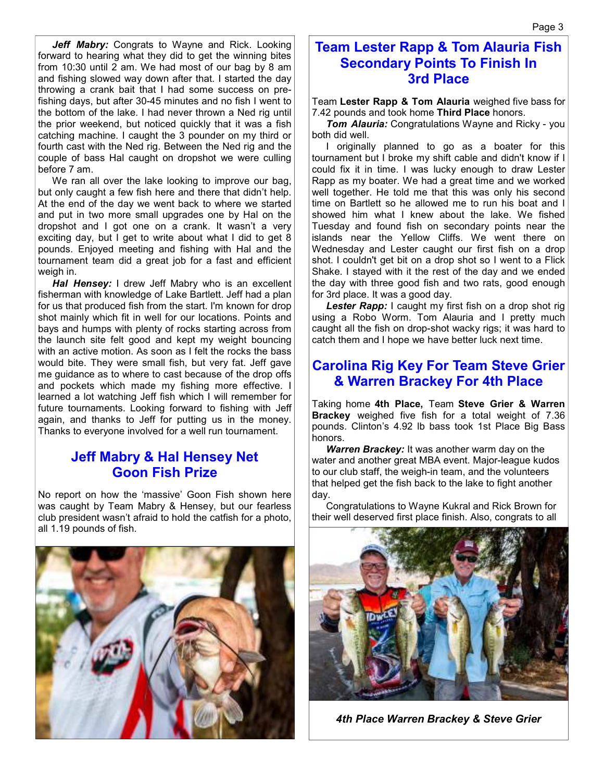Jeff Mabry: Congrats to Wayne and Rick. Looking forward to hearing what they did to get the winning bites from 10:30 until 2 am. We had most of our bag by 8 am and fishing slowed way down after that. I started the day throwing a crank bait that I had some success on prefishing days, but after 30-45 minutes and no fish I went to the bottom of the lake. I had never thrown a Ned rig until the prior weekend, but noticed quickly that it was a fish catching machine. I caught the 3 pounder on my third or fourth cast with the Ned rig. Between the Ned rig and the couple of bass Hal caught on dropshot we were culling before 7 am.

 We ran all over the lake looking to improve our bag, but only caught a few fish here and there that didn't help. At the end of the day we went back to where we started and put in two more small upgrades one by Hal on the dropshot and I got one on a crank. It wasn't a very exciting day, but I get to write about what I did to get 8 pounds. Enjoyed meeting and fishing with Hal and the tournament team did a great job for a fast and efficient weigh in.

 *Hal Hensey:* I drew Jeff Mabry who is an excellent fisherman with knowledge of Lake Bartlett. Jeff had a plan for us that produced fish from the start. I'm known for drop shot mainly which fit in well for our locations. Points and bays and humps with plenty of rocks starting across from the launch site felt good and kept my weight bouncing with an active motion. As soon as I felt the rocks the bass would bite. They were small fish, but very fat. Jeff gave me guidance as to where to cast because of the drop offs and pockets which made my fishing more effective. I learned a lot watching Jeff fish which I will remember for future tournaments. Looking forward to fishing with Jeff again, and thanks to Jeff for putting us in the money. Thanks to everyone involved for a well run tournament.

#### **Jeff Mabry & Hal Hensey Net Goon Fish Prize**

No report on how the 'massive' Goon Fish shown here was caught by Team Mabry & Hensey, but our fearless club president wasn't afraid to hold the catfish for a photo, all 1.19 pounds of fish.



#### **Team Lester Rapp & Tom Alauria Fish Secondary Points To Finish In 3rd Place**

Team **Lester Rapp & Tom Alauria** weighed five bass for 7.42 pounds and took home **Third Place** honors.

 *Tom Alauria:* Congratulations Wayne and Ricky - you both did well.

 I originally planned to go as a boater for this tournament but I broke my shift cable and didn't know if I could fix it in time. I was lucky enough to draw Lester Rapp as my boater. We had a great time and we worked well together. He told me that this was only his second time on Bartlett so he allowed me to run his boat and I showed him what I knew about the lake. We fished Tuesday and found fish on secondary points near the islands near the Yellow Cliffs. We went there on Wednesday and Lester caught our first fish on a drop shot. I couldn't get bit on a drop shot so I went to a Flick Shake. I stayed with it the rest of the day and we ended the day with three good fish and two rats, good enough for 3rd place. It was a good day.

**Lester Rapp:** I caught my first fish on a drop shot rig using a Robo Worm. Tom Alauria and I pretty much caught all the fish on drop-shot wacky rigs; it was hard to catch them and I hope we have better luck next time.

#### **Carolina Rig Key For Team Steve Grier & Warren Brackey For 4th Place**

Taking home **4th Place,** Team **Steve Grier & Warren Brackey** weighed five fish for a total weight of 7.36 pounds. Clinton's 4.92 lb bass took 1st Place Big Bass honors.

 *Warren Brackey:* It was another warm day on the water and another great MBA event. Major-league kudos to our club staff, the weigh-in team, and the volunteers that helped get the fish back to the lake to fight another day.

 Congratulations to Wayne Kukral and Rick Brown for their well deserved first place finish. Also, congrats to all



*4th Place Warren Brackey & Steve Grier*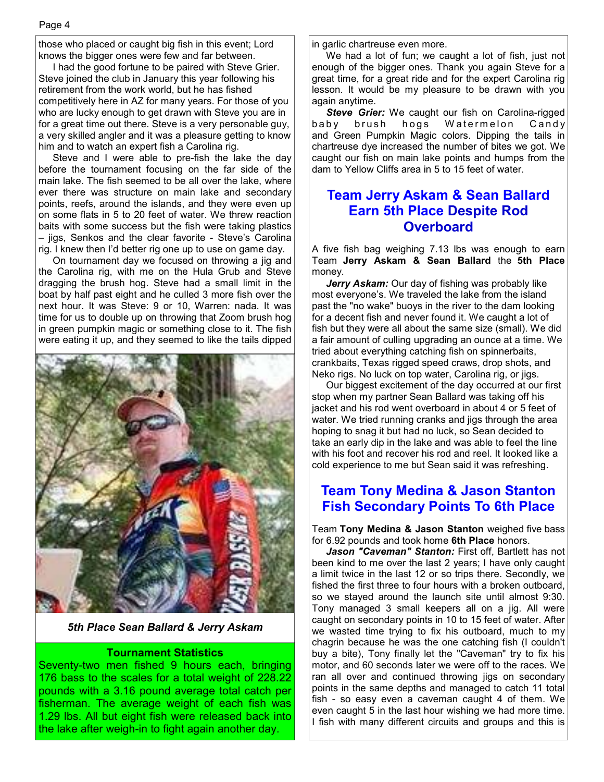those who placed or caught big fish in this event; Lord knows the bigger ones were few and far between.

 I had the good fortune to be paired with Steve Grier. Steve joined the club in January this year following his retirement from the work world, but he has fished competitively here in AZ for many years. For those of you who are lucky enough to get drawn with Steve you are in for a great time out there. Steve is a very personable guy, a very skilled angler and it was a pleasure getting to know him and to watch an expert fish a Carolina rig.

 Steve and I were able to pre-fish the lake the day before the tournament focusing on the far side of the main lake. The fish seemed to be all over the lake, where ever there was structure on main lake and secondary points, reefs, around the islands, and they were even up on some flats in 5 to 20 feet of water. We threw reaction baits with some success but the fish were taking plastics – jigs, Senkos and the clear favorite - Steve's Carolina rig. I knew then I'd better rig one up to use on game day.

 On tournament day we focused on throwing a jig and the Carolina rig, with me on the Hula Grub and Steve dragging the brush hog. Steve had a small limit in the boat by half past eight and he culled 3 more fish over the next hour. It was Steve: 9 or 10, Warren: nada. It was time for us to double up on throwing that Zoom brush hog in green pumpkin magic or something close to it. The fish were eating it up, and they seemed to like the tails dipped



*5th Place Sean Ballard & Jerry Askam* 

#### **Tournament Statistics**

Seventy-two men fished 9 hours each, bringing 176 bass to the scales for a total weight of 228.22 pounds with a 3.16 pound average total catch per fisherman. The average weight of each fish was 1.29 lbs. All but eight fish were released back into the lake after weigh-in to fight again another day.

in garlic chartreuse even more.

 We had a lot of fun; we caught a lot of fish, just not enough of the bigger ones. Thank you again Steve for a great time, for a great ride and for the expert Carolina rig lesson. It would be my pleasure to be drawn with you again anytime.

*Steve Grier:* We caught our fish on Carolina-rigged baby brush hogs Watermelon Candy and Green Pumpkin Magic colors. Dipping the tails in chartreuse dye increased the number of bites we got. We caught our fish on main lake points and humps from the dam to Yellow Cliffs area in 5 to 15 feet of water.

#### **Team Jerry Askam & Sean Ballard Earn 5th Place Despite Rod Overboard**

A five fish bag weighing 7.13 lbs was enough to earn Team **Jerry Askam & Sean Ballard** the **5th Place**  money.

 *Jerry Askam:* Our day of fishing was probably like most everyone's. We traveled the lake from the island past the "no wake" buoys in the river to the dam looking for a decent fish and never found it. We caught a lot of fish but they were all about the same size (small). We did a fair amount of culling upgrading an ounce at a time. We tried about everything catching fish on spinnerbaits, crankbaits, Texas rigged speed craws, drop shots, and Neko rigs. No luck on top water, Carolina rig, or jigs.

 Our biggest excitement of the day occurred at our first stop when my partner Sean Ballard was taking off his jacket and his rod went overboard in about 4 or 5 feet of water. We tried running cranks and jigs through the area hoping to snag it but had no luck, so Sean decided to take an early dip in the lake and was able to feel the line with his foot and recover his rod and reel. It looked like a cold experience to me but Sean said it was refreshing.

#### **Team Tony Medina & Jason Stanton Fish Secondary Points To 6th Place**

Team **Tony Medina & Jason Stanton** weighed five bass for 6.92 pounds and took home **6th Place** honors.

 *Jason "Caveman" Stanton:* First off, Bartlett has not been kind to me over the last 2 years; I have only caught a limit twice in the last 12 or so trips there. Secondly, we fished the first three to four hours with a broken outboard, so we stayed around the launch site until almost 9:30. Tony managed 3 small keepers all on a jig. All were caught on secondary points in 10 to 15 feet of water. After we wasted time trying to fix his outboard, much to my chagrin because he was the one catching fish (I couldn't buy a bite), Tony finally let the "Caveman" try to fix his motor, and 60 seconds later we were off to the races. We ran all over and continued throwing jigs on secondary points in the same depths and managed to catch 11 total fish - so easy even a caveman caught 4 of them. We even caught 5 in the last hour wishing we had more time. I fish with many different circuits and groups and this is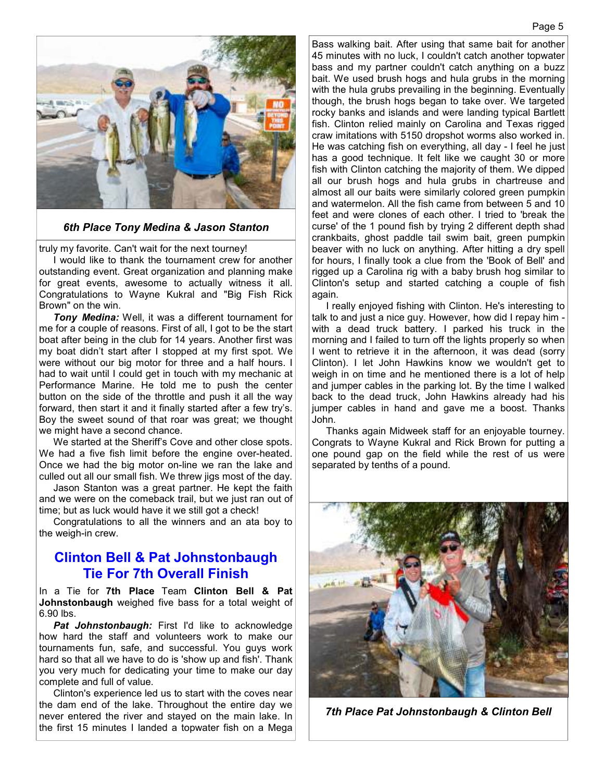

#### *6th Place Tony Medina & Jason Stanton*

truly my favorite. Can't wait for the next tourney!

 I would like to thank the tournament crew for another outstanding event. Great organization and planning make for great events, awesome to actually witness it all. Congratulations to Wayne Kukral and "Big Fish Rick Brown" on the win.

*Tony Medina:* Well, it was a different tournament for me for a couple of reasons. First of all, I got to be the start boat after being in the club for 14 years. Another first was my boat didn't start after I stopped at my first spot. We were without our big motor for three and a half hours. I had to wait until I could get in touch with my mechanic at Performance Marine. He told me to push the center button on the side of the throttle and push it all the way forward, then start it and it finally started after a few try's. Boy the sweet sound of that roar was great; we thought we might have a second chance.

 We started at the Sheriff's Cove and other close spots. We had a five fish limit before the engine over-heated. Once we had the big motor on-line we ran the lake and culled out all our small fish. We threw jigs most of the day.

 Jason Stanton was a great partner. He kept the faith and we were on the comeback trail, but we just ran out of time; but as luck would have it we still got a check!

 Congratulations to all the winners and an ata boy to the weigh-in crew.

#### **Clinton Bell & Pat Johnstonbaugh Tie For 7th Overall Finish**

In a Tie for **7th Place** Team **Clinton Bell & Pat Johnstonbaugh** weighed five bass for a total weight of 6.90 lbs.

Pat Johnstonbaugh: First I'd like to acknowledge how hard the staff and volunteers work to make our tournaments fun, safe, and successful. You guys work hard so that all we have to do is 'show up and fish'. Thank you very much for dedicating your time to make our day complete and full of value.

 Clinton's experience led us to start with the coves near the dam end of the lake. Throughout the entire day we never entered the river and stayed on the main lake. In the first 15 minutes I landed a topwater fish on a Mega Bass walking bait. After using that same bait for another 45 minutes with no luck, I couldn't catch another topwater bass and my partner couldn't catch anything on a buzz bait. We used brush hogs and hula grubs in the morning with the hula grubs prevailing in the beginning. Eventually though, the brush hogs began to take over. We targeted rocky banks and islands and were landing typical Bartlett fish. Clinton relied mainly on Carolina and Texas rigged craw imitations with 5150 dropshot worms also worked in. He was catching fish on everything, all day - I feel he just has a good technique. It felt like we caught 30 or more fish with Clinton catching the majority of them. We dipped all our brush hogs and hula grubs in chartreuse and almost all our baits were similarly colored green pumpkin and watermelon. All the fish came from between 5 and 10 feet and were clones of each other. I tried to 'break the curse' of the 1 pound fish by trying 2 different depth shad crankbaits, ghost paddle tail swim bait, green pumpkin beaver with no luck on anything. After hitting a dry spell for hours, I finally took a clue from the 'Book of Bell' and rigged up a Carolina rig with a baby brush hog similar to Clinton's setup and started catching a couple of fish again.

 I really enjoyed fishing with Clinton. He's interesting to talk to and just a nice guy. However, how did I repay him with a dead truck battery. I parked his truck in the morning and I failed to turn off the lights properly so when I went to retrieve it in the afternoon, it was dead (sorry Clinton). I let John Hawkins know we wouldn't get to weigh in on time and he mentioned there is a lot of help and jumper cables in the parking lot. By the time I walked back to the dead truck, John Hawkins already had his jumper cables in hand and gave me a boost. Thanks John.

 Thanks again Midweek staff for an enjoyable tourney. Congrats to Wayne Kukral and Rick Brown for putting a one pound gap on the field while the rest of us were separated by tenths of a pound.



*7th Place Pat Johnstonbaugh & Clinton Bell*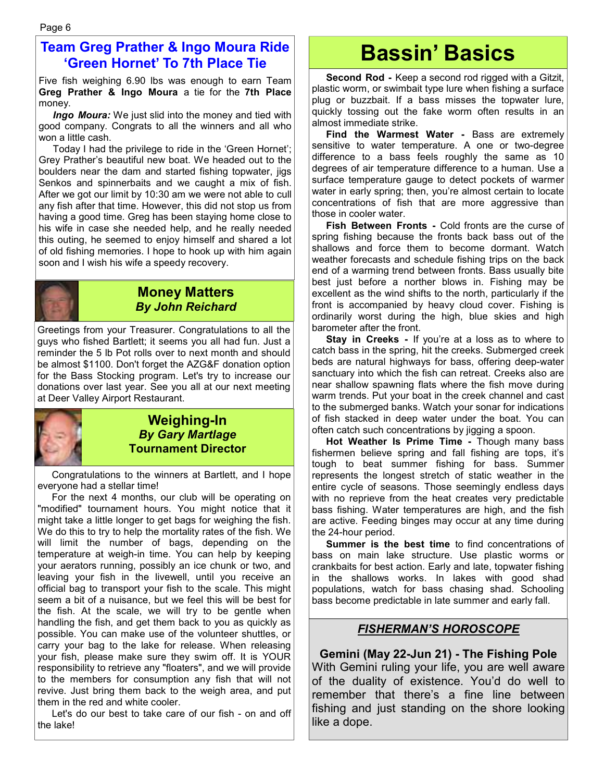#### **Team Greg Prather & Ingo Moura Ride 'Green Hornet' To 7th Place Tie**

Five fish weighing 6.90 lbs was enough to earn Team **Greg Prather & Ingo Moura** a tie for the **7th Place**  money.

*Ingo Moura:* We just slid into the money and tied with good company. Congrats to all the winners and all who won a little cash.

 Today I had the privilege to ride in the 'Green Hornet'; Grey Prather's beautiful new boat. We headed out to the boulders near the dam and started fishing topwater, jigs Senkos and spinnerbaits and we caught a mix of fish. After we got our limit by 10:30 am we were not able to cull any fish after that time. However, this did not stop us from having a good time. Greg has been staying home close to his wife in case she needed help, and he really needed this outing, he seemed to enjoy himself and shared a lot of old fishing memories. I hope to hook up with him again soon and I wish his wife a speedy recovery.



#### **Money Matters**  *By John Reichard*

Greetings from your Treasurer. Congratulations to all the guys who fished Bartlett; it seems you all had fun. Just a reminder the 5 lb Pot rolls over to next month and should be almost \$1100. Don't forget the AZG&F donation option for the Bass Stocking program. Let's try to increase our donations over last year. See you all at our next meeting at Deer Valley Airport Restaurant.



#### **Weighing-In**  *By Gary Martlage*  **Tournament Director**

 Congratulations to the winners at Bartlett, and I hope everyone had a stellar time!

 For the next 4 months, our club will be operating on "modified" tournament hours. You might notice that it might take a little longer to get bags for weighing the fish. We do this to try to help the mortality rates of the fish. We will limit the number of bags, depending on the temperature at weigh-in time. You can help by keeping your aerators running, possibly an ice chunk or two, and leaving your fish in the livewell, until you receive an official bag to transport your fish to the scale. This might seem a bit of a nuisance, but we feel this will be best for the fish. At the scale, we will try to be gentle when handling the fish, and get them back to you as quickly as possible. You can make use of the volunteer shuttles, or carry your bag to the lake for release. When releasing your fish, please make sure they swim off. It is YOUR responsibility to retrieve any "floaters", and we will provide to the members for consumption any fish that will not revive. Just bring them back to the weigh area, and put them in the red and white cooler.

 Let's do our best to take care of our fish - on and off the lake!

## **Bassin' Basics**

 **Second Rod -** Keep a second rod rigged with a Gitzit, plastic worm, or swimbait type lure when fishing a surface plug or buzzbait. If a bass misses the topwater lure, quickly tossing out the fake worm often results in an almost immediate strike.

 **Find the Warmest Water -** Bass are extremely sensitive to water temperature. A one or two-degree difference to a bass feels roughly the same as 10 degrees of air temperature difference to a human. Use a surface temperature gauge to detect pockets of warmer water in early spring; then, you're almost certain to locate concentrations of fish that are more aggressive than those in cooler water.

**Fish Between Fronts -** Cold fronts are the curse of spring fishing because the fronts back bass out of the shallows and force them to become dormant. Watch weather forecasts and schedule fishing trips on the back end of a warming trend between fronts. Bass usually bite best just before a norther blows in. Fishing may be excellent as the wind shifts to the north, particularly if the front is accompanied by heavy cloud cover. Fishing is ordinarily worst during the high, blue skies and high barometer after the front.

**Stay in Creeks -** If you're at a loss as to where to catch bass in the spring, hit the creeks. Submerged creek beds are natural highways for bass, offering deep-water sanctuary into which the fish can retreat. Creeks also are near shallow spawning flats where the fish move during warm trends. Put your boat in the creek channel and cast to the submerged banks. Watch your sonar for indications of fish stacked in deep water under the boat. You can often catch such concentrations by jigging a spoon.

 **Hot Weather Is Prime Time -** Though many bass fishermen believe spring and fall fishing are tops, it's tough to beat summer fishing for bass. Summer represents the longest stretch of static weather in the entire cycle of seasons. Those seemingly endless days with no reprieve from the heat creates very predictable bass fishing. Water temperatures are high, and the fish are active. Feeding binges may occur at any time during the 24-hour period.

**Summer is the best time** to find concentrations of bass on main lake structure. Use plastic worms or crankbaits for best action. Early and late, topwater fishing in the shallows works. In lakes with good shad populations, watch for bass chasing shad. Schooling bass become predictable in late summer and early fall.

#### *FISHERMAN'S HOROSCOPE*

**Gemini (May 22-Jun 21) - The Fishing Pole**  With Gemini ruling your life, you are well aware of the duality of existence. You'd do well to remember that there's a fine line between fishing and just standing on the shore looking like a dope.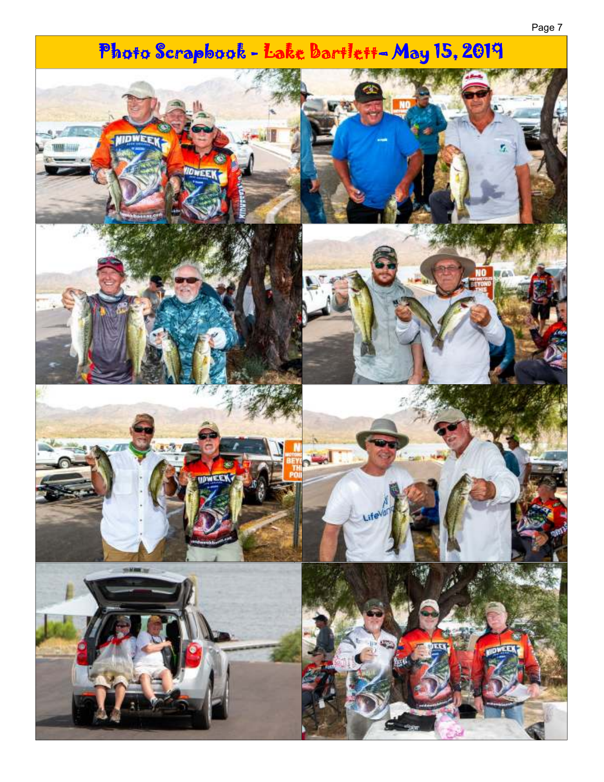# Photo Scrapbook - Lake Bartlett-May 15, 2019  $\overline{\mathbf{u}}$ **MIDWEF** انت **GMM** as